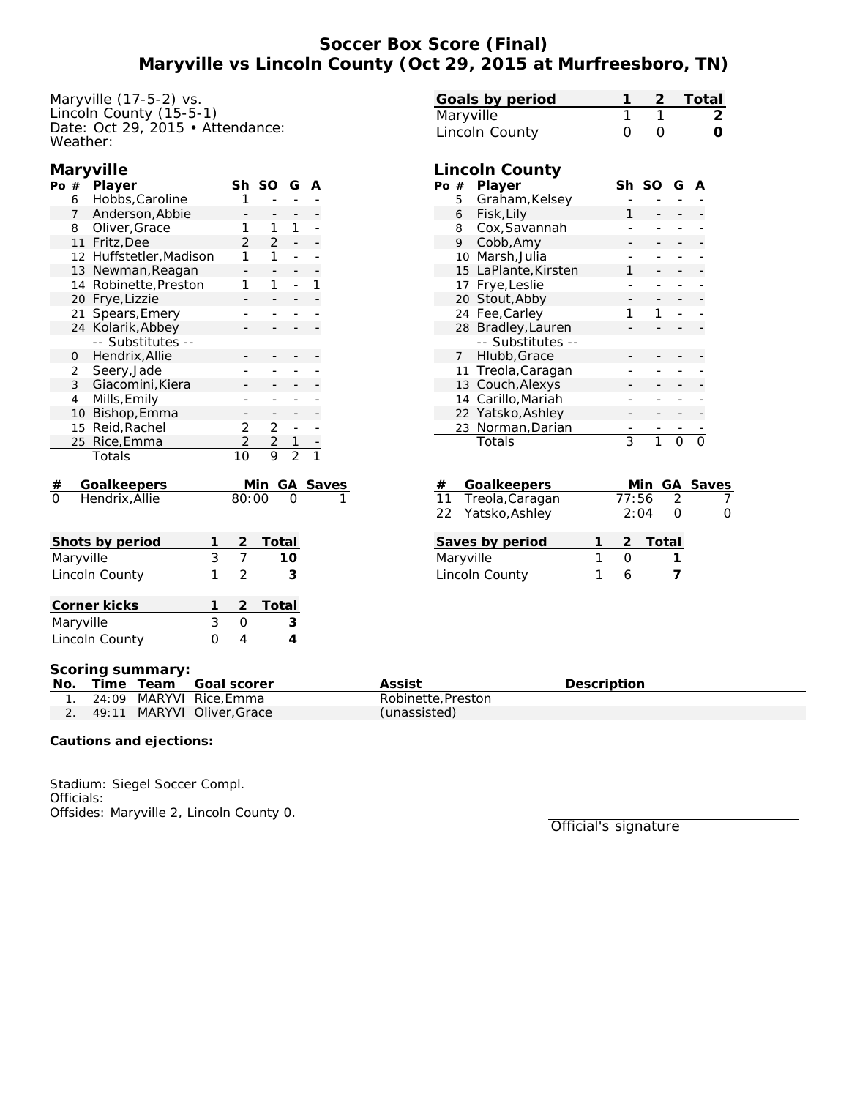# **Soccer Box Score (Final) Maryville vs Lincoln County (Oct 29, 2015 at Murfreesboro, TN)**

Maryville (17-5-2) vs. Lincoln County (15-5-1) Date: Oct 29, 2015 • Attendance: Weather:

### **Maryville**

| Po                  | $\#$           | Player                  | Sh              | SO             | G              | А |              |
|---------------------|----------------|-------------------------|-----------------|----------------|----------------|---|--------------|
|                     | 6              | Hobbs, Caroline         |                 |                |                |   |              |
|                     | 7              | Anderson, Abbie         |                 |                |                |   |              |
|                     | 8              | Oliver, Grace           | 1               | 1              | 1              |   |              |
|                     | 11             | Fritz, Dee              | 2               | 2              |                |   |              |
|                     |                | 12 Huffstetler, Madison | 1               | 1              |                |   |              |
|                     |                | 13 Newman, Reagan       |                 |                |                |   |              |
|                     | 14             | Robinette, Preston      | 1               | 1              |                | 1 |              |
|                     | 20             | Frye, Lizzie            |                 |                |                |   |              |
|                     | 21             | Spears, Emery           |                 |                |                |   |              |
|                     |                | 24 Kolarik, Abbey       |                 |                |                |   |              |
|                     |                | -- Substitutes --       |                 |                |                |   |              |
|                     | 0              | Hendrix, Allie          |                 |                |                |   |              |
|                     | $\overline{2}$ | Seery, Jade             |                 |                |                |   |              |
|                     | 3 <sup>7</sup> | Giacomini, Kiera        |                 |                |                |   |              |
|                     | 4              | Mills, Emily            |                 |                |                |   |              |
|                     | 10             | Bishop, Emma            |                 |                |                |   |              |
|                     | 15             | Reid, Rachel            | 2               | $\overline{2}$ |                |   |              |
|                     | 25             | Rice, Emma              | $\overline{2}$  | $\frac{2}{9}$  |                |   |              |
|                     |                | Totals                  | $\overline{10}$ |                | $\overline{2}$ |   |              |
| #                   |                | <u>Goalkeepers</u>      |                 | Min            |                |   | <u>Saves</u> |
|                     |                | Hendrix, Allie          | 80:00           |                |                |   |              |
|                     |                |                         |                 |                |                |   |              |
|                     |                | Shots by period<br>1    | $\overline{2}$  | Total          |                |   |              |
| 3<br>Maryville      |                |                         | $\overline{7}$  |                | 10             |   |              |
| Lincoln County<br>1 |                |                         | 2               |                | 3              |   |              |
|                     |                | 1<br>Corner kicks       | $\overline{c}$  | Total          |                |   |              |
|                     |                |                         |                 |                |                |   |              |

| Goals by period |                  | 1 2 Total |
|-----------------|------------------|-----------|
| Maryville       |                  |           |
| Lincoln County  | $\left( \right)$ |           |

# **Lincoln County**

| Pο             | #  | Player               | Sh | G |  |
|----------------|----|----------------------|----|---|--|
|                | 5  | Graham, Kelsey       |    |   |  |
|                | 6  | Fisk, Lily           |    |   |  |
|                | 8  | Cox, Savannah        |    |   |  |
| Cobb, Amy<br>9 |    |                      |    |   |  |
|                |    | 10 Marsh, Julia      |    |   |  |
|                |    | 15 LaPlante, Kirsten |    |   |  |
|                |    | 17 Frye, Leslie      |    |   |  |
|                |    | 20 Stout, Abby       |    |   |  |
|                |    | 24 Fee, Carley       |    |   |  |
|                |    | 28 Bradley, Lauren   |    |   |  |
|                |    | -- Substitutes --    |    |   |  |
|                | 7  | Hlubb, Grace         |    |   |  |
|                |    | 11 Treola, Caragan   |    |   |  |
|                |    | 13 Couch, Alexys     |    |   |  |
|                |    | 14 Carillo, Mariah   |    |   |  |
|                |    | 22 Yatsko, Ashley    |    |   |  |
|                | 23 | Norman, Darian       |    |   |  |
|                |    | Totals               | 3  |   |  |

| # | Goalkeepers        |       |         | Min GA Saves |
|---|--------------------|-------|---------|--------------|
|   | 11 Treola, Caragan | 77:56 |         |              |
|   | 22 Yatsko, Ashley  | 2:04  |         |              |
|   | Saves by period    |       | 2 Total |              |
|   | Maryville          |       |         |              |
|   | Lincoln County     |       |         |              |

#### **Scoring summary:**

| No. |  | Time Team Goal scorer         | Assist            | <b>Description</b> |
|-----|--|-------------------------------|-------------------|--------------------|
|     |  | 1. 24:09 MARYVI Rice.Emma     | Robinette.Preston |                    |
|     |  | 2. 49:11 MARYVI Oliver, Grace | (unassisted)      |                    |

**Cautions and ejections:**

Stadium: Siegel Soccer Compl. Officials: Offsides: Maryville 2, Lincoln County 0.

Maryville 3 0 3 Lincoln County 0 4 **4**

Official's signature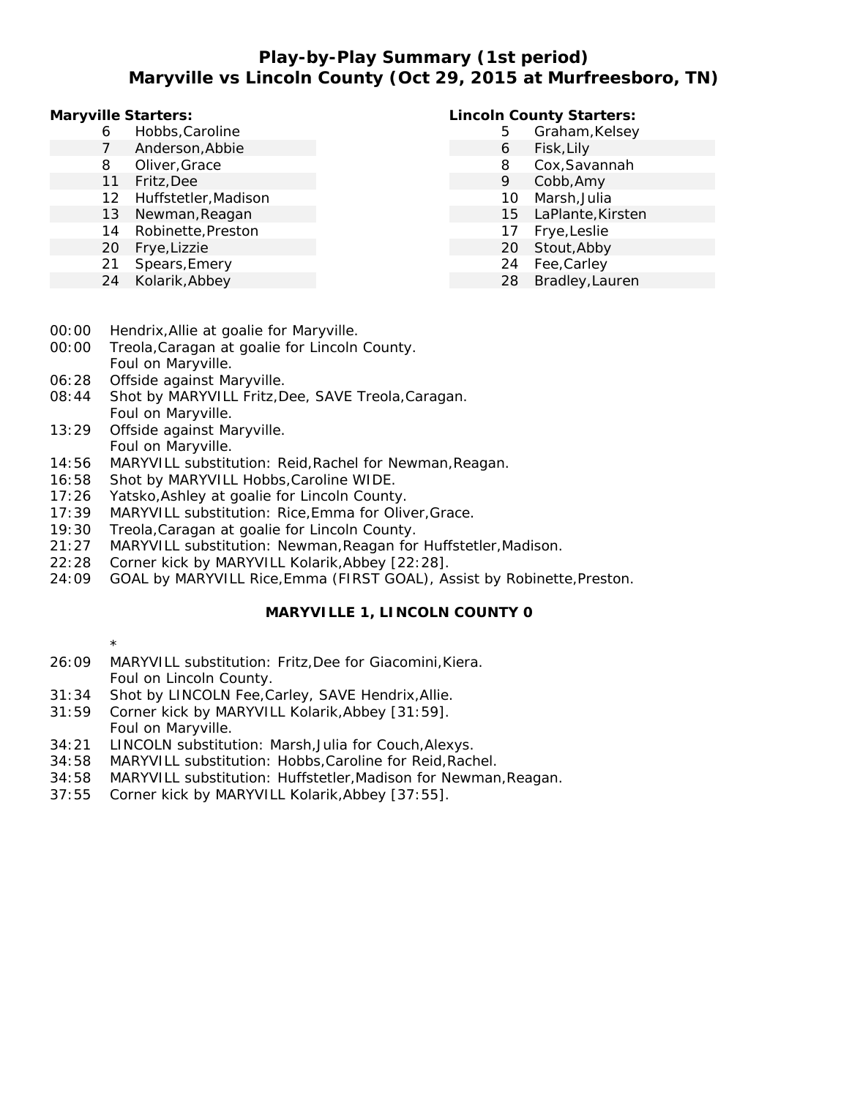# **Play-by-Play Summary (1st period) Maryville vs Lincoln County (Oct 29, 2015 at Murfreesboro, TN)**

**Maryville Starters:**

- 6 Hobbs,Caroline
- 7 Anderson,Abbie
- 8 Oliver,Grace
- 11 Fritz,Dee
- 12 Huffstetler,Madison
- 13 Newman,Reagan
- 14 Robinette,Preston
- 20 Frye,Lizzie
- 21 Spears,Emery
- 24 Kolarik,Abbey

### **Lincoln County Starters:**

- 5 Graham,Kelsey 6 Fisk,Lily
- 8 Cox,Savannah
- 9 Cobb,Amy
- 10 Marsh,Julia
- 15 LaPlante,Kirsten
- 17 Frye,Leslie
- 20 Stout,Abby
- 24 Fee,Carley
- 28 Bradley,Lauren

- 00:00 Hendrix,Allie at goalie for Maryville.
- 00:00 Treola,Caragan at goalie for Lincoln County. Foul on Maryville.
- 06:28 Offside against Maryville.
- 08:44 Shot by MARYVILL Fritz,Dee, SAVE Treola,Caragan. Foul on Maryville.
- 13:29 Offside against Maryville. Foul on Maryville.
- 14:56 MARYVILL substitution: Reid,Rachel for Newman,Reagan.
- 16:58 Shot by MARYVILL Hobbs,Caroline WIDE.
- 17:26 Yatsko,Ashley at goalie for Lincoln County.
- 17:39 MARYVILL substitution: Rice,Emma for Oliver,Grace.
- 19:30 Treola,Caragan at goalie for Lincoln County.
- 21:27 MARYVILL substitution: Newman,Reagan for Huffstetler,Madison.
- 22:28 Corner kick by MARYVILL Kolarik,Abbey [22:28].
- 24:09 GOAL by MARYVILL Rice,Emma (FIRST GOAL), Assist by Robinette,Preston.

#### **MARYVILLE 1, LINCOLN COUNTY 0**

- \*
- 26:09 MARYVILL substitution: Fritz,Dee for Giacomini,Kiera. Foul on Lincoln County.
- 31:34 Shot by LINCOLN Fee,Carley, SAVE Hendrix,Allie.
- 31:59 Corner kick by MARYVILL Kolarik,Abbey [31:59]. Foul on Maryville.
- 34:21 LINCOLN substitution: Marsh,Julia for Couch,Alexys.
- 34:58 MARYVILL substitution: Hobbs,Caroline for Reid,Rachel.
- 34:58 MARYVILL substitution: Huffstetler,Madison for Newman,Reagan.
- 37:55 Corner kick by MARYVILL Kolarik,Abbey [37:55].